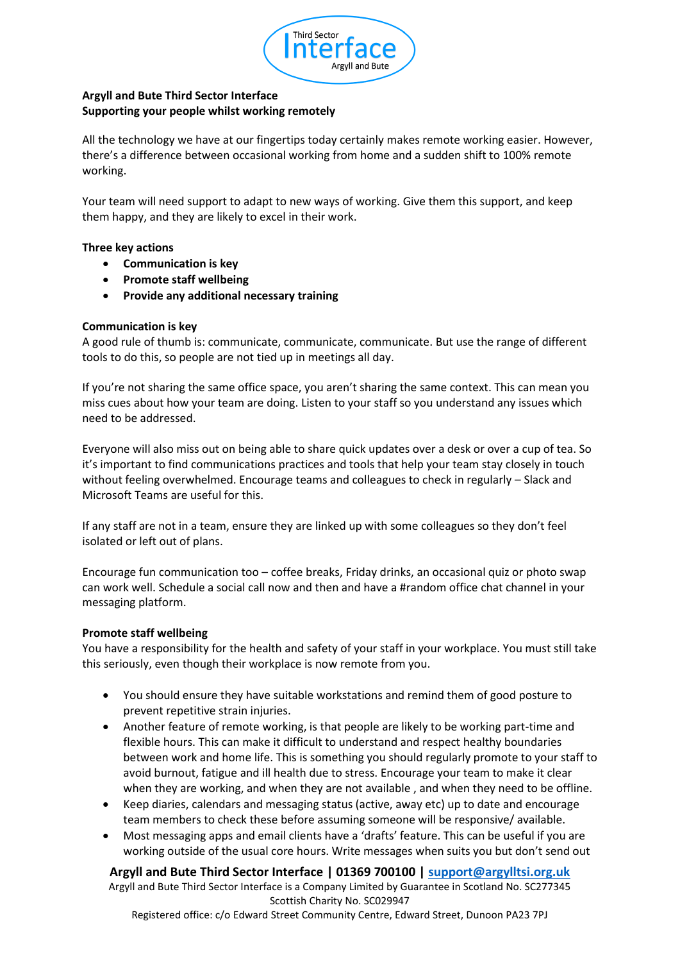

# **Argyll and Bute Third Sector Interface Supporting your people whilst working remotely**

All the technology we have at our fingertips today certainly makes remote working easier. However, there's a difference between occasional working from home and a sudden shift to 100% remote working.

Your team will need support to adapt to new ways of working. Give them this support, and keep them happy, and they are likely to excel in their work.

### **Three key actions**

- **Communication is key**
- **Promote staff wellbeing**
- **Provide any additional necessary training**

### **Communication is key**

A good rule of thumb is: communicate, communicate, communicate. But use the range of different tools to do this, so people are not tied up in meetings all day.

If you're not sharing the same office space, you aren't sharing the same context. This can mean you miss cues about how your team are doing. Listen to your staff so you understand any issues which need to be addressed.

Everyone will also miss out on being able to share quick updates over a desk or over a cup of tea. So it's important to find communications practices and tools that help your team stay closely in touch without feeling overwhelmed. Encourage teams and colleagues to check in regularly – Slack and Microsoft Teams are useful for this.

If any staff are not in a team, ensure they are linked up with some colleagues so they don't feel isolated or left out of plans.

Encourage fun communication too – coffee breaks, Friday drinks, an occasional quiz or photo swap can work well. Schedule a social call now and then and have a #random office chat channel in your messaging platform.

### **Promote staff wellbeing**

You have a responsibility for the health and safety of your staff in your workplace. You must still take this seriously, even though their workplace is now remote from you.

- You should ensure they have suitable workstations and remind them of good posture to prevent repetitive strain injuries.
- Another feature of remote working, is that people are likely to be working part-time and flexible hours. This can make it difficult to understand and respect healthy boundaries between work and home life. This is something you should regularly promote to your staff to avoid burnout, fatigue and ill health due to stress. Encourage your team to make it clear when they are working, and when they are not available , and when they need to be offline.
- Keep diaries, calendars and messaging status (active, away etc) up to date and encourage team members to check these before assuming someone will be responsive/ available.
- Most messaging apps and email clients have a 'drafts' feature. This can be useful if you are working outside of the usual core hours. Write messages when suits you but don't send out

### **Argyll and Bute Third Sector Interface | 01369 700100 | [support@argylltsi.org.uk](mailto:support@argylltsi.org.uk)**

Argyll and Bute Third Sector Interface is a Company Limited by Guarantee in Scotland No. SC277345 Scottish Charity No. SC029947

Registered office: c/o Edward Street Community Centre, Edward Street, Dunoon PA23 7PJ